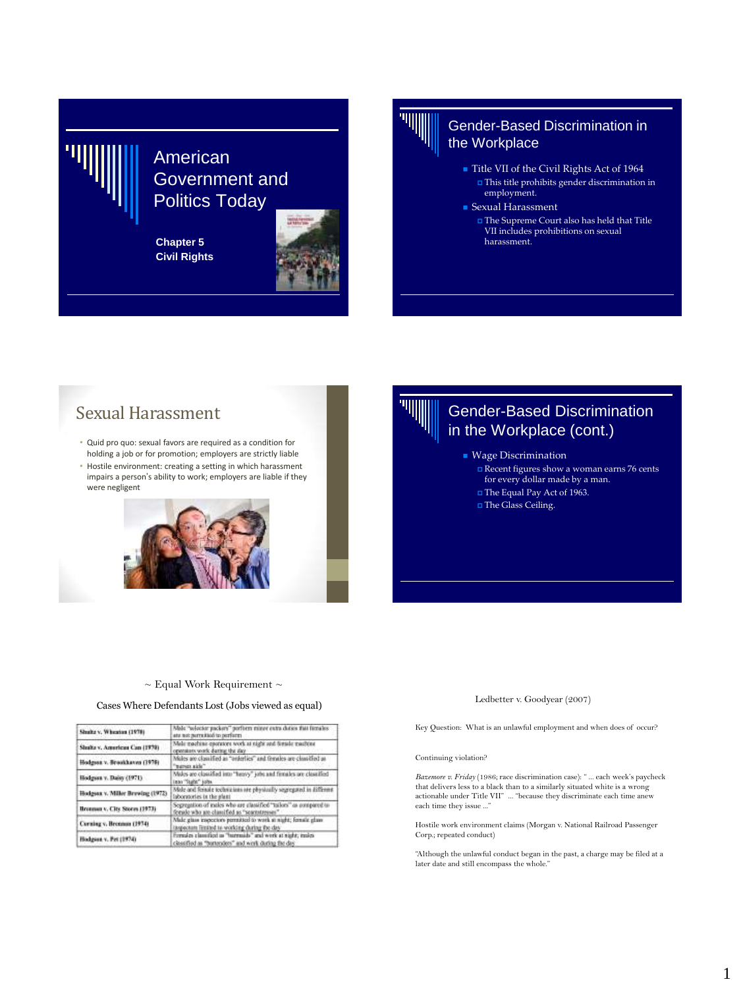# American Government and Politics Today

**Chapter 5 Civil Rights**



## Gender-Based Discrimination in the Workplace

- Title VII of the Civil Rights Act of 1964  $\Box$  <br> This title prohibits gender discrimination in employment.
- Sexual Harassment
	- The Supreme Court also has held that Title VII includes prohibitions on sexual harassment.

# Sexual Harassment

- Quid pro quo: sexual favors are required as a condition for holding a job or for promotion; employers are strictly liable
- Hostile environment: creating a setting in which harassment impairs a person's ability to work; employers are liable if they were negligent



# Gender-Based Discrimination in the Workplace (cont.)

- **Wage Discrimination** 
	- Recent figures show a woman earns 76 cents for every dollar made by a man.
	- The Equal Pay Act of 1963.
	- The Glass Ceiling.

### $\sim$  Equal Work Requirement  $\sim$

### Cases Where Defendants Lost (Jobs viewed as equal)

| Shutta v. Wheaton (1978)         | Male "solector packers" porform minor extra duties that firmales<br>ate not percented to perform                 |
|----------------------------------|------------------------------------------------------------------------------------------------------------------|
| Slutha v. American Can (1970)    | Male machine energiers work at night and fimule machine<br>operators work during the day                         |
| Hodgess v. Brookkaves (1978)     | Males are clossified as "orderlies" and females are clossified as<br>"marsex aids"                               |
| Hodgsan v. Daisy (1971)          | Males are classified into "heavy" jobs and firmiles are classified<br>into "Tugla" jobs.                         |
| Hodesax v. Miller Brewing (1972) | Male and fenale technicians are physically segregated in different<br>laboratories in the plant                  |
| Bronnau v. City Stores (1973)    | Segregation of males who are classified "tailors" as compared to<br>ferale who go classified as "seamstresses"   |
| Corning v. Brennun (1974).       | Male glass impections permitted to work at night; female glass<br>inspectant limited to working during the day   |
| Hisdgass v. Pet (1974)           | Firmales classified as "harmads" and work at starkt; males<br>classified as "burtenders" and work during the day |

### Ledbetter v. Goodyear (2007)

Key Question: What is an unlawful employment and when does of occur?

### Continuing violation?

*Bazemore v. Friday* (1986; race discrimination case): " ... each week's paycheck that delivers less to a black than to a similarly situated white is a wrong actionable under Title VII" ... "because they discriminate each time anew each time they issue ..."

Hostile work environment claims (Morgan v. National Railroad Passenger Corp.; repeated conduct)

"Although the unlawful conduct began in the past, a charge may be filed at a later date and still encompass the whole."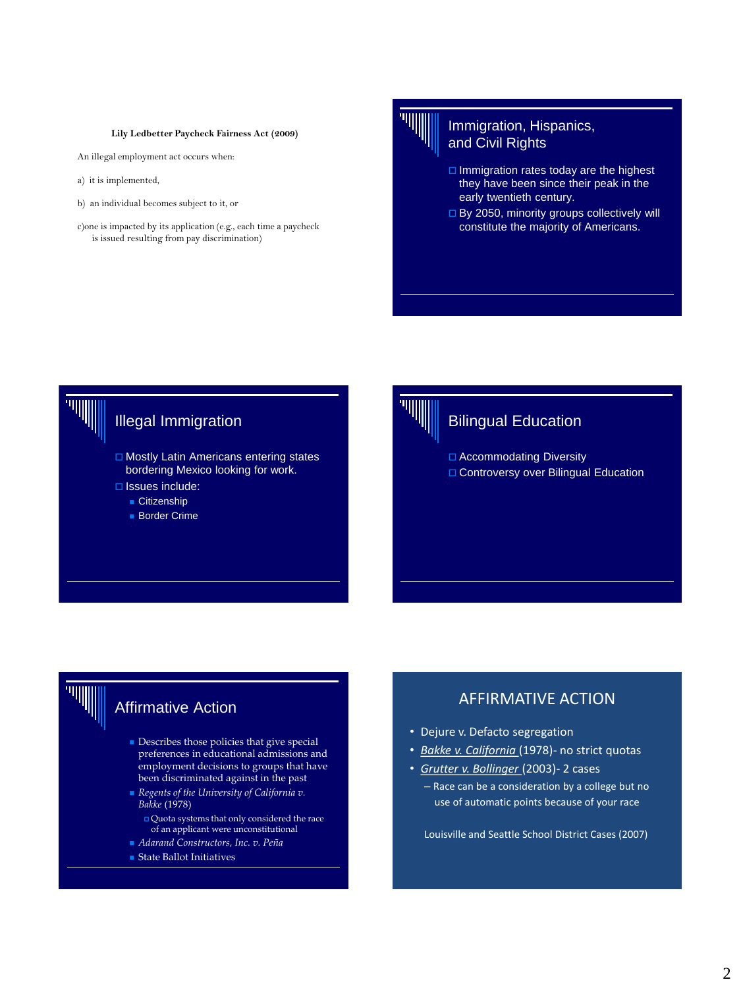### **Lily Ledbetter Paycheck Fairness Act (2009)**

An illegal employment act occurs when:

- a) it is implemented,
- b) an individual becomes subject to it, or
- c)one is impacted by its application (e.g., each time a paycheck is issued resulting from pay discrimination)

## Immigration, Hispanics, and Civil Rights

- $\Box$  Immigration rates today are the highest they have been since their peak in the early twentieth century.
- □ By 2050, minority groups collectively will constitute the majority of Americans.



# Illegal Immigration

- $\Box$  Mostly Latin Americans entering states bordering Mexico looking for work.
- $\Box$  Issues include:
	- Citizenship
	- Border Crime



# Bilingual Education

- □ Accommodating Diversity
- □ Controversy over Bilingual Education

# [A](http://en.wikipedia.org/wiki/Image:Eeoc.jpg)ffirmative Action

- Describes those policies that give special preferences in educational admissions and employment decisions to groups that have been discri[minate](http://www.dol.gov/index.htm)d against in the past
- *Regents of the University of California v. Bakke* (1978)
	- Quota systems that only considered the race of an applicant were unconstitutional
- *Adarand Constructors, Inc. v. Peña*
- State Ballot Initiatives

# AFFIRMATIVE ACTION

- Dejure v. Defacto segregation
- *Bakke v. California* (1978)- no strict quotas
- *Grutter v. Bollinger* (2003)- 2 cases
	- Race can be a consideration by a college but no use of automatic points because of your race

Louisville and Seattle School District Cases (2007)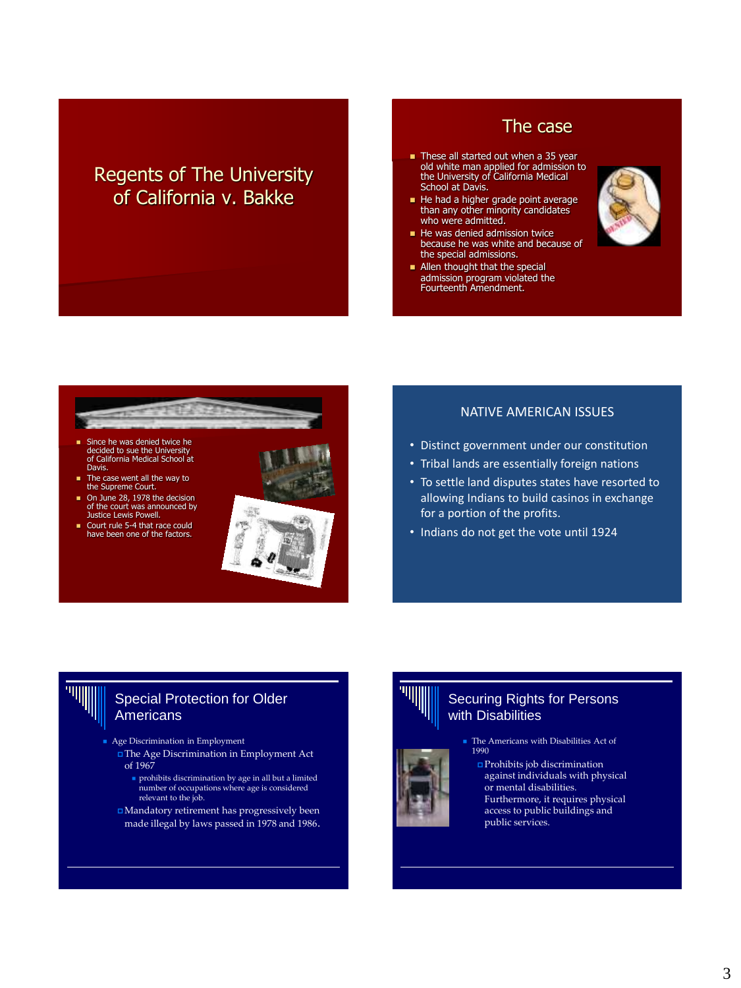# Regents of The University of California v. Bakke

# The case

- These all started out when a 35 year old white man applied for admission to the University of California Medical School at Davis.
- He had a higher grade point average than any other minority candidates who were admitted.
- He was denied admission twice because he was white and because of the special admissions.
- **Allen thought that the special** admission program violated the Fourteenth Amendment.





- Since he was denied twice he decided to sue the University of California Medical School at Davis.
- The case went all the way to the Supreme Court.
- On June 28, 1978 the decision of the court was announced by Justice Lewis Powell.
- Court rule 5-4 that race could have been one of the factors.



### NATIVE AMERICAN ISSUES

- Distinct government under our constitution
- Tribal lands are essentially foreign nations
- To settle land disputes states have resorted to allowing Indians to build casinos in exchange for a portion of the profits.
- Indians do not get the vote until 1924

## Special Protection for Older Americans

- Age Discrimination in Employment
- The Age Discrimination in Employment Act of 1967
	- prohibits discrimination by age in all but a limited number of occupations where age is considered relevant to the job.
- $\Box$  Mandatory retirement has progressively been made illegal by laws passed in 1978 and 1986.

## Securing Rights for Persons with Disabilities

**The Americans with Disabilities Act of** 1990

 Prohibits job discrimination against individuals with physical or mental disabilities. Furthermore, it requires physical access to public buildings and public services.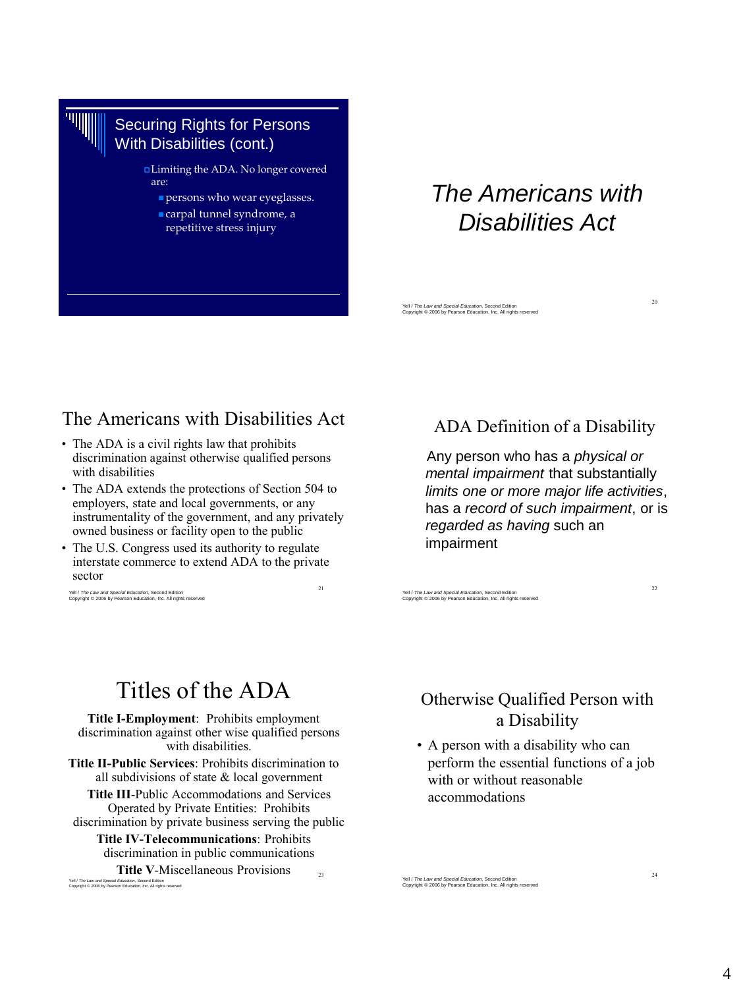# Securing Rights for Persons With Disabilities (cont.)

Limiting the ADA. No longer covered are:

- persons who wear eyeglasses.
- carpal tunnel syndrome, a repetitive stress injury

# *The Americans with Disabilities Act*

Yell / *The Law and Special Education*, Second Edition Copyright © 2006 by Pearson Education, Inc. All rights reserved

# The Americans with Disabilities Act

- The ADA is a civil rights law that prohibits discrimination against otherwise qualified persons with disabilities
- The ADA extends the protections of Section 504 to employers, state and local governments, or any instrumentality of the government, and any privately owned business or facility open to the public
- The U.S. Congress used its authority to regulate interstate commerce to extend ADA to the private sector

21

Yell / *The Law and Special Education*, Second Edition Copyright © 2006 by Pearson Education, Inc. All rights reserved

# ADA Definition of a Disability

 Any person who has a *physical or mental impairment* that substantially *limits one or more major life activities*, has a *record of such impairment*, or is *regarded as having* such an impairment

Yell / *The Law and Special Education*, Second Edition Copyright © 2006 by Pearson Education, Inc. All rights reserved

# Titles of the ADA

**Title I-Employment**: Prohibits employment discrimination against other wise qualified persons with disabilities.

**Title II-Public Services**: Prohibits discrimination to all subdivisions of state & local government

**Title III**-Public Accommodations and Services Operated by Private Entities: Prohibits

discrimination by private business serving the public **Title IV-Telecommunications**: Prohibits discrimination in public communications

 $23$ **Title V**-Miscellaneous Provisions Yell / *The Law and Special Education*, Second Edition Copyright © 2006 by Pearson Education, Inc. All rights reserved

# Otherwise Qualified Person with a Disability

• A person with a disability who can perform the essential functions of a job with or without reasonable accommodations

Yell / *The Law and Special Education*, Second Edition Copyright © 2006 by Pearson Education, Inc. All rights reserved

20

22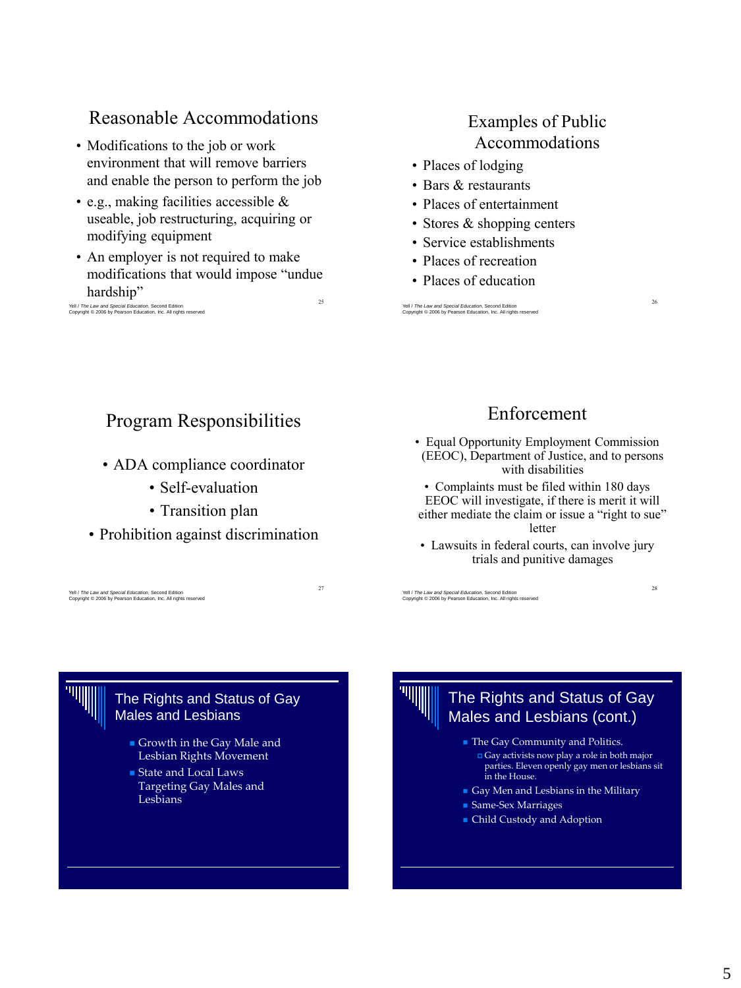# Reasonable Accommodations

- Modifications to the job or work environment that will remove barriers and enable the person to perform the job
- e.g., making facilities accessible & useable, job restructuring, acquiring or modifying equipment
- 25 • An employer is not required to make modifications that would impose "undue hardship"

Yell / *The Law and Special Education*, Second Edition Copyright © 2006 by Pearson Education, Inc. All rights reserved

# Examples of Public Accommodations

- Places of lodging
- Bars & restaurants
- Places of entertainment
- Stores & shopping centers
- Service establishments
- Places of recreation
- Places of education

Yell / *The Law and Special Education*, Second Edition Copyright © 2006 by Pearson Education, Inc. All rights reserved

# Program Responsibilities

- ADA compliance coordinator
	- Self-evaluation
	- Transition plan
- Prohibition against discrimination

27

### Yell / *The Law and Special Education*, Second Edition Copyright © 2006 by Pearson Education, Inc. All rights reserved

# Enforcement

26

28

- Equal Opportunity Employment Commission (EEOC), Department of Justice, and to persons with disabilities
- Complaints must be filed within 180 days EEOC will investigate, if there is merit it will either mediate the claim or issue a "right to sue" letter
- Lawsuits in federal courts, can involve jury trials and punitive damages

Yell / *The Law and Special Education*, Second Edition Copyright © 2006 by Pearson Education, Inc. All rights reserved

## The Rights and Status of Gay Males and Lesbians

- Growth in the Gay Male and Lesbian Rights Movement
- State and Local Laws Targeting Gay Males and Lesbians

The Rights and Status of Gay Males and Lesbians (cont.)

**The Gay Community and Politics.** 

- Gay activists now play a role in both major parties. Eleven openly gay men or lesbians sit in the House.
- Gay Men and Lesbians in the Military
- Same-Sex Marriages
- Child Custody and Adoption